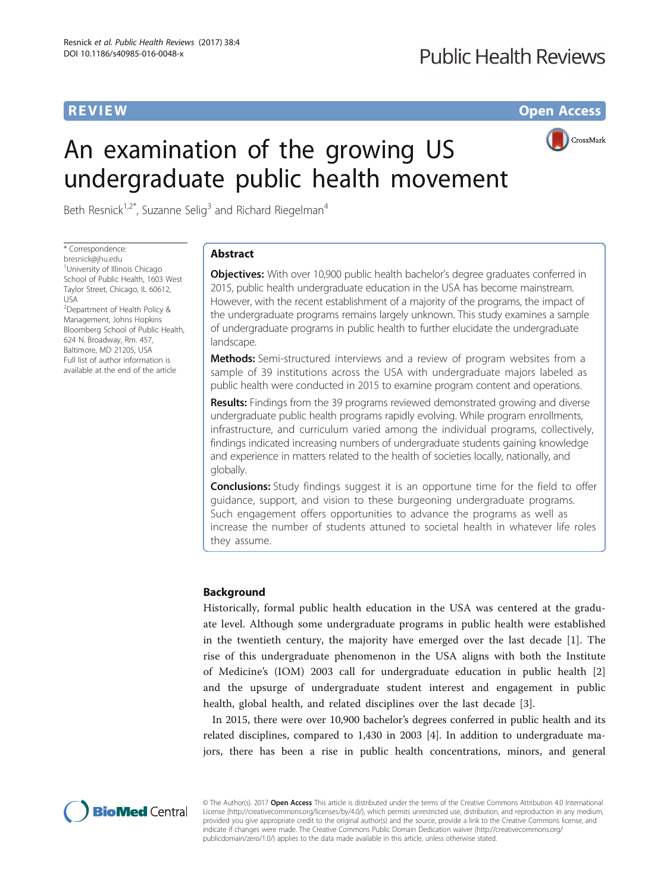**REVIEW CONSTRUCTION CONSTRUCTION CONSTRUCTION CONSTRUCTS** 

CrossMark

# An examination of the growing US undergraduate public health movement

Beth Resnick<sup>1,2\*</sup>, Suzanne Selig<sup>3</sup> and Richard Riegelman<sup>4</sup>

\* Correspondence:

[bresnick@jhu.edu](mailto:bresnick@jhu.edu) 1 University of Illinois Chicago School of Public Health, 1603 West Taylor Street, Chicago, IL 60612, USA <sup>2</sup>Department of Health Policy & Management, Johns Hopkins Bloomberg School of Public Health, 624 N. Broadway, Rm. 457,

Baltimore, MD 21205, USA Full list of author information is available at the end of the article

# Abstract

**Objectives:** With over 10,900 public health bachelor's degree graduates conferred in 2015, public health undergraduate education in the USA has become mainstream. However, with the recent establishment of a majority of the programs, the impact of the undergraduate programs remains largely unknown. This study examines a sample of undergraduate programs in public health to further elucidate the undergraduate landscape.

Methods: Semi-structured interviews and a review of program websites from a sample of 39 institutions across the USA with undergraduate majors labeled as public health were conducted in 2015 to examine program content and operations.

Results: Findings from the 39 programs reviewed demonstrated growing and diverse undergraduate public health programs rapidly evolving. While program enrollments, infrastructure, and curriculum varied among the individual programs, collectively, findings indicated increasing numbers of undergraduate students gaining knowledge and experience in matters related to the health of societies locally, nationally, and globally.

**Conclusions:** Study findings suggest it is an opportune time for the field to offer guidance, support, and vision to these burgeoning undergraduate programs. Such engagement offers opportunities to advance the programs as well as increase the number of students attuned to societal health in whatever life roles they assume.

# Background

Historically, formal public health education in the USA was centered at the graduate level. Although some undergraduate programs in public health were established in the twentieth century, the majority have emerged over the last decade [\[1](#page-14-0)]. The rise of this undergraduate phenomenon in the USA aligns with both the Institute of Medicine's (IOM) 2003 call for undergraduate education in public health [\[2](#page-14-0)] and the upsurge of undergraduate student interest and engagement in public health, global health, and related disciplines over the last decade [\[3](#page-14-0)].

In 2015, there were over 10,900 bachelor's degrees conferred in public health and its related disciplines, compared to 1,430 in 2003 [\[4](#page-14-0)]. In addition to undergraduate majors, there has been a rise in public health concentrations, minors, and general



© The Author(s). 2017 Open Access This article is distributed under the terms of the Creative Commons Attribution 4.0 International License ([http://creativecommons.org/licenses/by/4.0/\)](http://creativecommons.org/licenses/by/4.0/), which permits unrestricted use, distribution, and reproduction in any medium, provided you give appropriate credit to the original author(s) and the source, provide a link to the Creative Commons license, and indicate if changes were made. The Creative Commons Public Domain Dedication waiver ([http://creativecommons.org/](http://creativecommons.org/publicdomain/zero/1.0/) [publicdomain/zero/1.0/\)](http://creativecommons.org/publicdomain/zero/1.0/) applies to the data made available in this article, unless otherwise stated.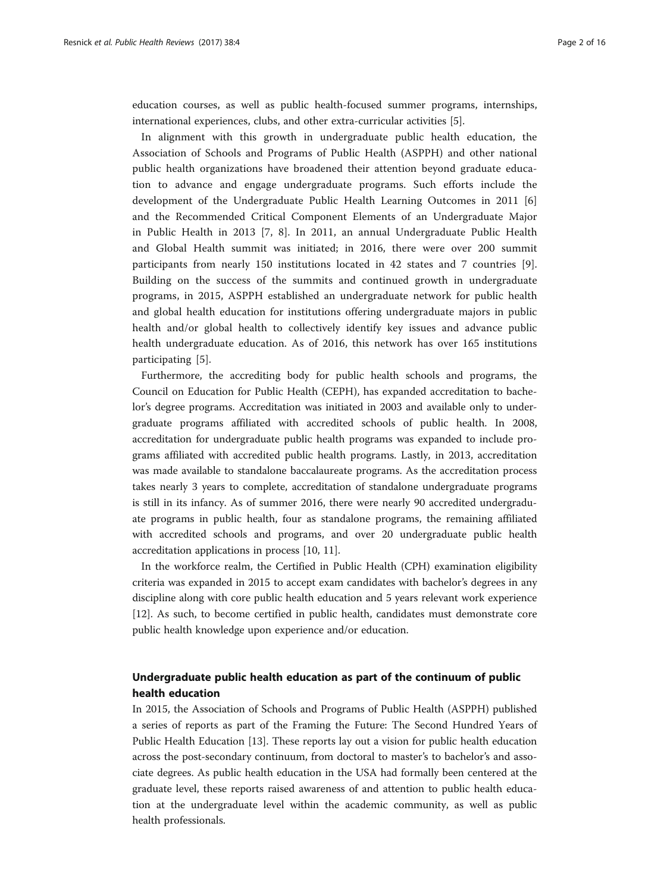education courses, as well as public health-focused summer programs, internships, international experiences, clubs, and other extra-curricular activities [\[5](#page-14-0)].

In alignment with this growth in undergraduate public health education, the Association of Schools and Programs of Public Health (ASPPH) and other national public health organizations have broadened their attention beyond graduate education to advance and engage undergraduate programs. Such efforts include the development of the Undergraduate Public Health Learning Outcomes in 2011 [\[6](#page-14-0)] and the Recommended Critical Component Elements of an Undergraduate Major in Public Health in 2013 [[7, 8\]](#page-14-0). In 2011, an annual Undergraduate Public Health and Global Health summit was initiated; in 2016, there were over 200 summit participants from nearly 150 institutions located in 42 states and 7 countries [\[9](#page-14-0)]. Building on the success of the summits and continued growth in undergraduate programs, in 2015, ASPPH established an undergraduate network for public health and global health education for institutions offering undergraduate majors in public health and/or global health to collectively identify key issues and advance public health undergraduate education. As of 2016, this network has over 165 institutions participating [\[5](#page-14-0)].

Furthermore, the accrediting body for public health schools and programs, the Council on Education for Public Health (CEPH), has expanded accreditation to bachelor's degree programs. Accreditation was initiated in 2003 and available only to undergraduate programs affiliated with accredited schools of public health. In 2008, accreditation for undergraduate public health programs was expanded to include programs affiliated with accredited public health programs. Lastly, in 2013, accreditation was made available to standalone baccalaureate programs. As the accreditation process takes nearly 3 years to complete, accreditation of standalone undergraduate programs is still in its infancy. As of summer 2016, there were nearly 90 accredited undergraduate programs in public health, four as standalone programs, the remaining affiliated with accredited schools and programs, and over 20 undergraduate public health accreditation applications in process [[10](#page-14-0), [11](#page-14-0)].

In the workforce realm, the Certified in Public Health (CPH) examination eligibility criteria was expanded in 2015 to accept exam candidates with bachelor's degrees in any discipline along with core public health education and 5 years relevant work experience [[12\]](#page-14-0). As such, to become certified in public health, candidates must demonstrate core public health knowledge upon experience and/or education.

# Undergraduate public health education as part of the continuum of public health education

In 2015, the Association of Schools and Programs of Public Health (ASPPH) published a series of reports as part of the Framing the Future: The Second Hundred Years of Public Health Education [[13\]](#page-14-0). These reports lay out a vision for public health education across the post-secondary continuum, from doctoral to master's to bachelor's and associate degrees. As public health education in the USA had formally been centered at the graduate level, these reports raised awareness of and attention to public health education at the undergraduate level within the academic community, as well as public health professionals.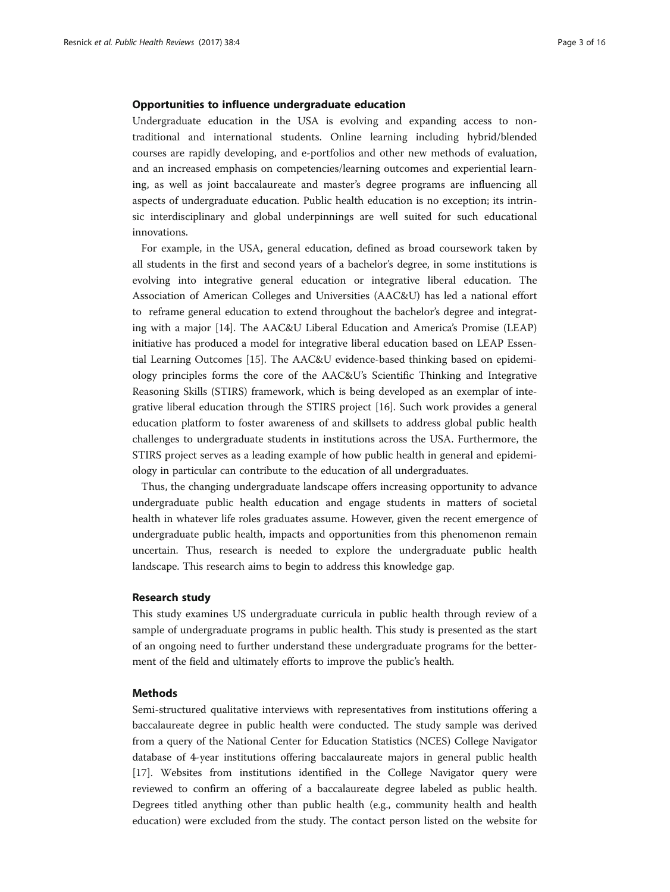#### Opportunities to influence undergraduate education

Undergraduate education in the USA is evolving and expanding access to nontraditional and international students. Online learning including hybrid/blended courses are rapidly developing, and e-portfolios and other new methods of evaluation, and an increased emphasis on competencies/learning outcomes and experiential learning, as well as joint baccalaureate and master's degree programs are influencing all aspects of undergraduate education. Public health education is no exception; its intrinsic interdisciplinary and global underpinnings are well suited for such educational innovations.

For example, in the USA, general education, defined as broad coursework taken by all students in the first and second years of a bachelor's degree, in some institutions is evolving into integrative general education or integrative liberal education. The Association of American Colleges and Universities (AAC&U) has led a national effort to reframe general education to extend throughout the bachelor's degree and integrating with a major [[14](#page-14-0)]. The AAC&U Liberal Education and America's Promise (LEAP) initiative has produced a model for integrative liberal education based on LEAP Essential Learning Outcomes [[15\]](#page-14-0). The AAC&U evidence-based thinking based on epidemiology principles forms the core of the AAC&U's Scientific Thinking and Integrative Reasoning Skills (STIRS) framework, which is being developed as an exemplar of integrative liberal education through the STIRS project [[16\]](#page-14-0). Such work provides a general education platform to foster awareness of and skillsets to address global public health challenges to undergraduate students in institutions across the USA. Furthermore, the STIRS project serves as a leading example of how public health in general and epidemiology in particular can contribute to the education of all undergraduates.

Thus, the changing undergraduate landscape offers increasing opportunity to advance undergraduate public health education and engage students in matters of societal health in whatever life roles graduates assume. However, given the recent emergence of undergraduate public health, impacts and opportunities from this phenomenon remain uncertain. Thus, research is needed to explore the undergraduate public health landscape. This research aims to begin to address this knowledge gap.

### Research study

This study examines US undergraduate curricula in public health through review of a sample of undergraduate programs in public health. This study is presented as the start of an ongoing need to further understand these undergraduate programs for the betterment of the field and ultimately efforts to improve the public's health.

#### Methods

Semi-structured qualitative interviews with representatives from institutions offering a baccalaureate degree in public health were conducted. The study sample was derived from a query of the National Center for Education Statistics (NCES) College Navigator database of 4-year institutions offering baccalaureate majors in general public health [[17\]](#page-14-0). Websites from institutions identified in the College Navigator query were reviewed to confirm an offering of a baccalaureate degree labeled as public health. Degrees titled anything other than public health (e.g., community health and health education) were excluded from the study. The contact person listed on the website for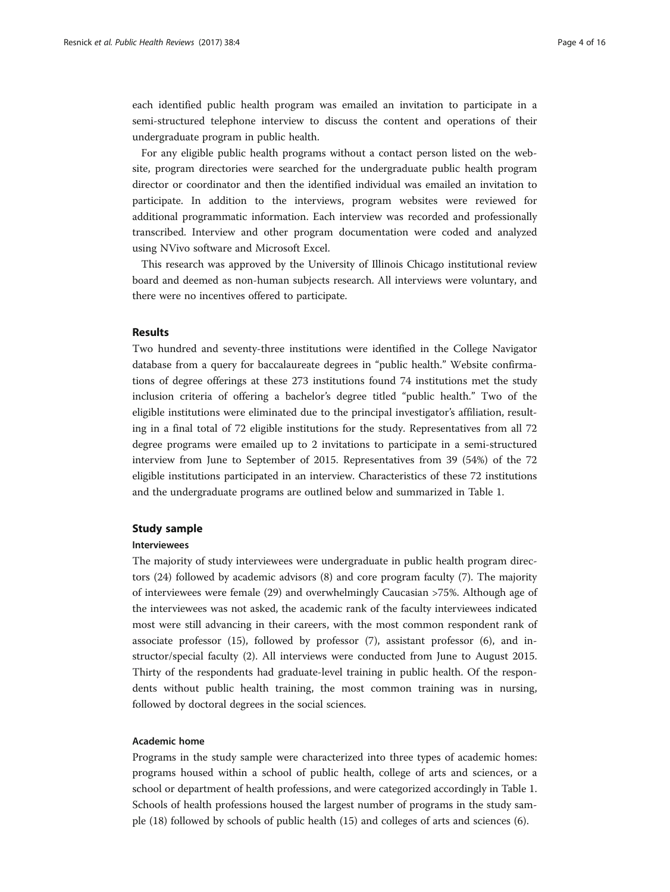each identified public health program was emailed an invitation to participate in a semi-structured telephone interview to discuss the content and operations of their undergraduate program in public health.

For any eligible public health programs without a contact person listed on the website, program directories were searched for the undergraduate public health program director or coordinator and then the identified individual was emailed an invitation to participate. In addition to the interviews, program websites were reviewed for additional programmatic information. Each interview was recorded and professionally transcribed. Interview and other program documentation were coded and analyzed using NVivo software and Microsoft Excel.

This research was approved by the University of Illinois Chicago institutional review board and deemed as non-human subjects research. All interviews were voluntary, and there were no incentives offered to participate.

#### Results

Two hundred and seventy-three institutions were identified in the College Navigator database from a query for baccalaureate degrees in "public health." Website confirmations of degree offerings at these 273 institutions found 74 institutions met the study inclusion criteria of offering a bachelor's degree titled "public health." Two of the eligible institutions were eliminated due to the principal investigator's affiliation, resulting in a final total of 72 eligible institutions for the study. Representatives from all 72 degree programs were emailed up to 2 invitations to participate in a semi-structured interview from June to September of 2015. Representatives from 39 (54%) of the 72 eligible institutions participated in an interview. Characteristics of these 72 institutions and the undergraduate programs are outlined below and summarized in Table [1](#page-4-0).

#### Study sample

#### Interviewees

The majority of study interviewees were undergraduate in public health program directors (24) followed by academic advisors (8) and core program faculty (7). The majority of interviewees were female (29) and overwhelmingly Caucasian >75%. Although age of the interviewees was not asked, the academic rank of the faculty interviewees indicated most were still advancing in their careers, with the most common respondent rank of associate professor (15), followed by professor (7), assistant professor (6), and instructor/special faculty (2). All interviews were conducted from June to August 2015. Thirty of the respondents had graduate-level training in public health. Of the respondents without public health training, the most common training was in nursing, followed by doctoral degrees in the social sciences.

### Academic home

Programs in the study sample were characterized into three types of academic homes: programs housed within a school of public health, college of arts and sciences, or a school or department of health professions, and were categorized accordingly in Table [1](#page-4-0). Schools of health professions housed the largest number of programs in the study sample (18) followed by schools of public health (15) and colleges of arts and sciences (6).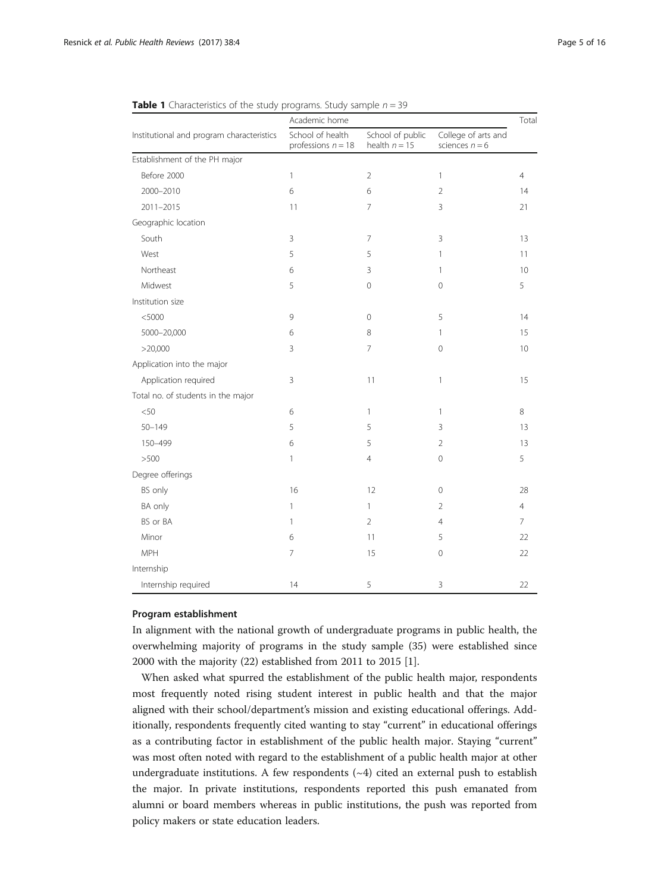| Institutional and program characteristics | Academic home                            |                                     |                                         | Total          |
|-------------------------------------------|------------------------------------------|-------------------------------------|-----------------------------------------|----------------|
|                                           | School of health<br>professions $n = 18$ | School of public<br>health $n = 15$ | College of arts and<br>sciences $n = 6$ |                |
| Establishment of the PH major             |                                          |                                     |                                         |                |
| Before 2000                               | $\mathbf{1}$                             | $\overline{2}$                      | $\mathbf{1}$                            | $\overline{4}$ |
| 2000-2010                                 | 6                                        | 6                                   | $\overline{2}$                          | 14             |
| 2011-2015                                 | 11                                       | $\overline{7}$                      | 3                                       | 21             |
| Geographic location                       |                                          |                                     |                                         |                |
| South                                     | 3                                        | 7                                   | 3                                       | 13             |
| West                                      | 5                                        | 5                                   | 1                                       | 11             |
| Northeast                                 | 6                                        | 3                                   | 1                                       | 10             |
| Midwest                                   | 5                                        | $\mathbf 0$                         | 0                                       | 5              |
| Institution size                          |                                          |                                     |                                         |                |
| $<$ 5000                                  | 9                                        | $\mathbf 0$                         | 5                                       | 14             |
| 5000-20,000                               | 6                                        | 8                                   | 1                                       | 15             |
| >20,000                                   | 3                                        | 7                                   | 0                                       | 10             |
| Application into the major                |                                          |                                     |                                         |                |
| Application required                      | 3                                        | 11                                  | 1                                       | 15             |
| Total no. of students in the major        |                                          |                                     |                                         |                |
| < 50                                      | 6                                        | 1                                   | 1                                       | 8              |
| $50 - 149$                                | 5                                        | 5                                   | 3                                       | 13             |
| 150-499                                   | 6                                        | 5                                   | $\overline{2}$                          | 13             |
| >500                                      | 1                                        | $\overline{4}$                      | $\mathbf 0$                             | 5              |
| Degree offerings                          |                                          |                                     |                                         |                |
| BS only                                   | 16                                       | 12                                  | 0                                       | 28             |
| BA only                                   | $\mathbf{1}$                             | 1                                   | 2                                       | $\overline{4}$ |
| BS or BA                                  | 1                                        | $\overline{2}$                      | 4                                       | $\overline{7}$ |
| Minor                                     | 6                                        | 11                                  | 5                                       | 22             |
| <b>MPH</b>                                | $\overline{7}$                           | 15                                  | 0                                       | 22             |
| Internship                                |                                          |                                     |                                         |                |
| Internship required                       | 14                                       | 5                                   | 3                                       | 22             |

<span id="page-4-0"></span>

### Program establishment

In alignment with the national growth of undergraduate programs in public health, the overwhelming majority of programs in the study sample (35) were established since 2000 with the majority (22) established from 2011 to 2015 [[1\]](#page-14-0).

When asked what spurred the establishment of the public health major, respondents most frequently noted rising student interest in public health and that the major aligned with their school/department's mission and existing educational offerings. Additionally, respondents frequently cited wanting to stay "current" in educational offerings as a contributing factor in establishment of the public health major. Staying "current" was most often noted with regard to the establishment of a public health major at other undergraduate institutions. A few respondents  $(\sim 4)$  cited an external push to establish the major. In private institutions, respondents reported this push emanated from alumni or board members whereas in public institutions, the push was reported from policy makers or state education leaders.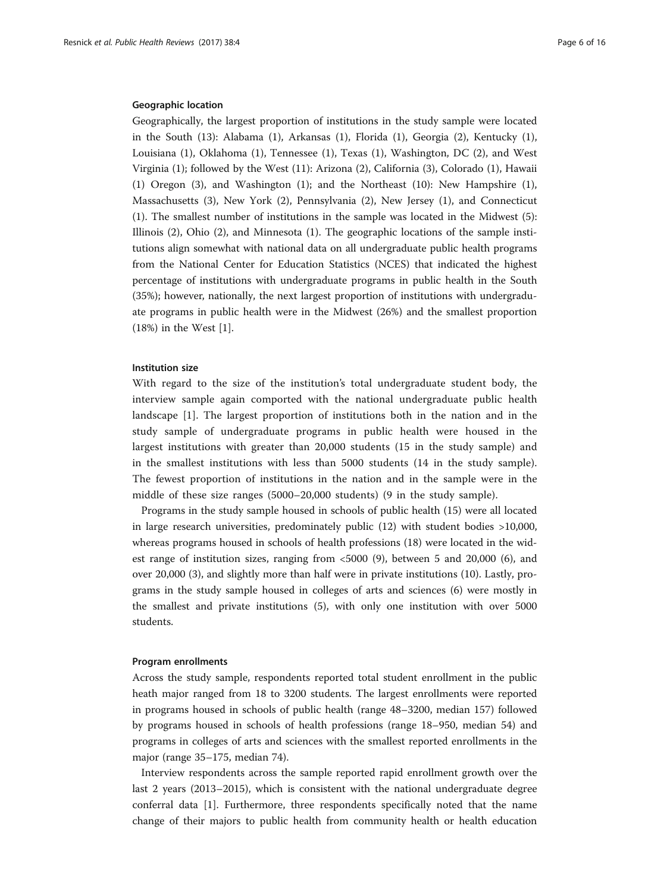#### Geographic location

Geographically, the largest proportion of institutions in the study sample were located in the South (13): Alabama (1), Arkansas (1), Florida (1), Georgia (2), Kentucky (1), Louisiana (1), Oklahoma (1), Tennessee (1), Texas (1), Washington, DC (2), and West Virginia (1); followed by the West (11): Arizona (2), California (3), Colorado (1), Hawaii (1) Oregon (3), and Washington (1); and the Northeast (10): New Hampshire (1), Massachusetts (3), New York (2), Pennsylvania (2), New Jersey (1), and Connecticut (1). The smallest number of institutions in the sample was located in the Midwest (5): Illinois (2), Ohio (2), and Minnesota (1). The geographic locations of the sample institutions align somewhat with national data on all undergraduate public health programs from the National Center for Education Statistics (NCES) that indicated the highest percentage of institutions with undergraduate programs in public health in the South (35%); however, nationally, the next largest proportion of institutions with undergraduate programs in public health were in the Midwest (26%) and the smallest proportion (18%) in the West [[1\]](#page-14-0).

#### Institution size

With regard to the size of the institution's total undergraduate student body, the interview sample again comported with the national undergraduate public health landscape [[1\]](#page-14-0). The largest proportion of institutions both in the nation and in the study sample of undergraduate programs in public health were housed in the largest institutions with greater than 20,000 students (15 in the study sample) and in the smallest institutions with less than 5000 students (14 in the study sample). The fewest proportion of institutions in the nation and in the sample were in the middle of these size ranges (5000–20,000 students) (9 in the study sample).

Programs in the study sample housed in schools of public health (15) were all located in large research universities, predominately public (12) with student bodies >10,000, whereas programs housed in schools of health professions (18) were located in the widest range of institution sizes, ranging from <5000 (9), between 5 and 20,000 (6), and over 20,000 (3), and slightly more than half were in private institutions (10). Lastly, programs in the study sample housed in colleges of arts and sciences (6) were mostly in the smallest and private institutions (5), with only one institution with over 5000 students.

#### Program enrollments

Across the study sample, respondents reported total student enrollment in the public heath major ranged from 18 to 3200 students. The largest enrollments were reported in programs housed in schools of public health (range 48–3200, median 157) followed by programs housed in schools of health professions (range 18–950, median 54) and programs in colleges of arts and sciences with the smallest reported enrollments in the major (range 35–175, median 74).

Interview respondents across the sample reported rapid enrollment growth over the last 2 years (2013–2015), which is consistent with the national undergraduate degree conferral data [\[1](#page-14-0)]. Furthermore, three respondents specifically noted that the name change of their majors to public health from community health or health education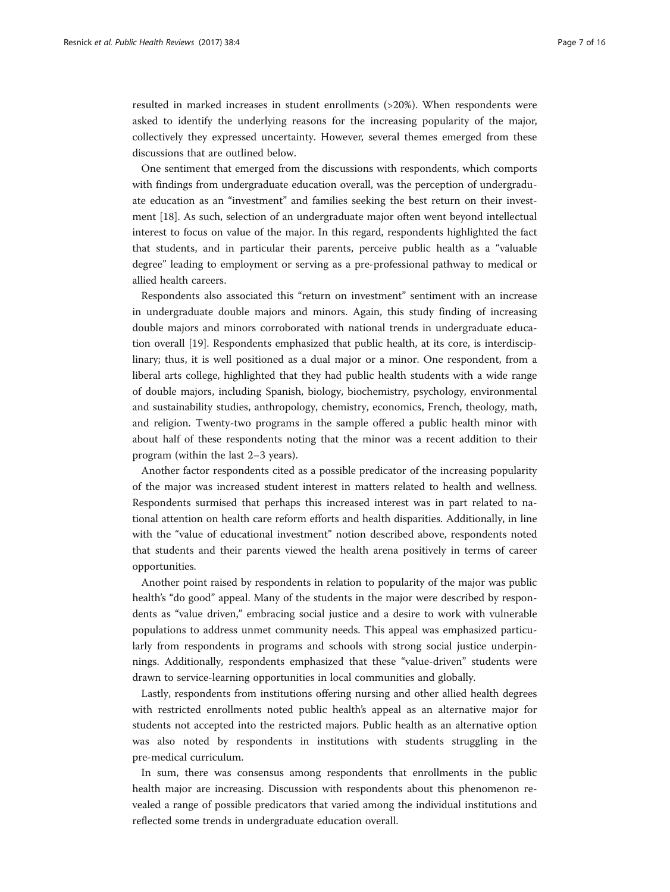resulted in marked increases in student enrollments (>20%). When respondents were asked to identify the underlying reasons for the increasing popularity of the major, collectively they expressed uncertainty. However, several themes emerged from these discussions that are outlined below.

One sentiment that emerged from the discussions with respondents, which comports with findings from undergraduate education overall, was the perception of undergraduate education as an "investment" and families seeking the best return on their investment [\[18\]](#page-14-0). As such, selection of an undergraduate major often went beyond intellectual interest to focus on value of the major. In this regard, respondents highlighted the fact that students, and in particular their parents, perceive public health as a "valuable degree" leading to employment or serving as a pre-professional pathway to medical or allied health careers.

Respondents also associated this "return on investment" sentiment with an increase in undergraduate double majors and minors. Again, this study finding of increasing double majors and minors corroborated with national trends in undergraduate education overall [[19\]](#page-14-0). Respondents emphasized that public health, at its core, is interdisciplinary; thus, it is well positioned as a dual major or a minor. One respondent, from a liberal arts college, highlighted that they had public health students with a wide range of double majors, including Spanish, biology, biochemistry, psychology, environmental and sustainability studies, anthropology, chemistry, economics, French, theology, math, and religion. Twenty-two programs in the sample offered a public health minor with about half of these respondents noting that the minor was a recent addition to their program (within the last 2–3 years).

Another factor respondents cited as a possible predicator of the increasing popularity of the major was increased student interest in matters related to health and wellness. Respondents surmised that perhaps this increased interest was in part related to national attention on health care reform efforts and health disparities. Additionally, in line with the "value of educational investment" notion described above, respondents noted that students and their parents viewed the health arena positively in terms of career opportunities.

Another point raised by respondents in relation to popularity of the major was public health's "do good" appeal. Many of the students in the major were described by respondents as "value driven," embracing social justice and a desire to work with vulnerable populations to address unmet community needs. This appeal was emphasized particularly from respondents in programs and schools with strong social justice underpinnings. Additionally, respondents emphasized that these "value-driven" students were drawn to service-learning opportunities in local communities and globally.

Lastly, respondents from institutions offering nursing and other allied health degrees with restricted enrollments noted public health's appeal as an alternative major for students not accepted into the restricted majors. Public health as an alternative option was also noted by respondents in institutions with students struggling in the pre-medical curriculum.

In sum, there was consensus among respondents that enrollments in the public health major are increasing. Discussion with respondents about this phenomenon revealed a range of possible predicators that varied among the individual institutions and reflected some trends in undergraduate education overall.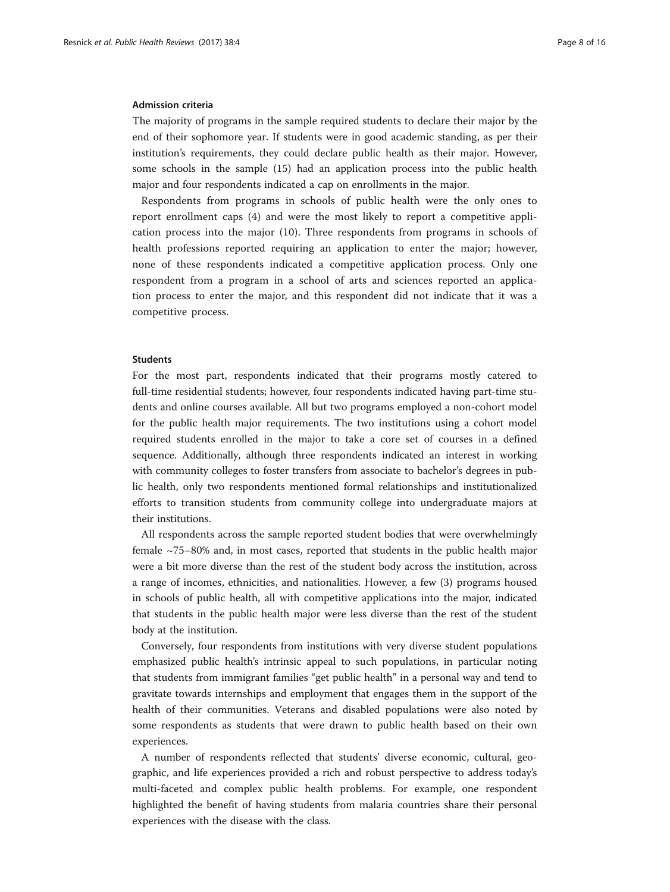#### Admission criteria

The majority of programs in the sample required students to declare their major by the end of their sophomore year. If students were in good academic standing, as per their institution's requirements, they could declare public health as their major. However, some schools in the sample (15) had an application process into the public health major and four respondents indicated a cap on enrollments in the major.

Respondents from programs in schools of public health were the only ones to report enrollment caps (4) and were the most likely to report a competitive application process into the major (10). Three respondents from programs in schools of health professions reported requiring an application to enter the major; however, none of these respondents indicated a competitive application process. Only one respondent from a program in a school of arts and sciences reported an application process to enter the major, and this respondent did not indicate that it was a competitive process.

#### Students

For the most part, respondents indicated that their programs mostly catered to full-time residential students; however, four respondents indicated having part-time students and online courses available. All but two programs employed a non-cohort model for the public health major requirements. The two institutions using a cohort model required students enrolled in the major to take a core set of courses in a defined sequence. Additionally, although three respondents indicated an interest in working with community colleges to foster transfers from associate to bachelor's degrees in public health, only two respondents mentioned formal relationships and institutionalized efforts to transition students from community college into undergraduate majors at their institutions.

All respondents across the sample reported student bodies that were overwhelmingly female ~75–80% and, in most cases, reported that students in the public health major were a bit more diverse than the rest of the student body across the institution, across a range of incomes, ethnicities, and nationalities. However, a few (3) programs housed in schools of public health, all with competitive applications into the major, indicated that students in the public health major were less diverse than the rest of the student body at the institution.

Conversely, four respondents from institutions with very diverse student populations emphasized public health's intrinsic appeal to such populations, in particular noting that students from immigrant families "get public health" in a personal way and tend to gravitate towards internships and employment that engages them in the support of the health of their communities. Veterans and disabled populations were also noted by some respondents as students that were drawn to public health based on their own experiences.

A number of respondents reflected that students' diverse economic, cultural, geographic, and life experiences provided a rich and robust perspective to address today's multi-faceted and complex public health problems. For example, one respondent highlighted the benefit of having students from malaria countries share their personal experiences with the disease with the class.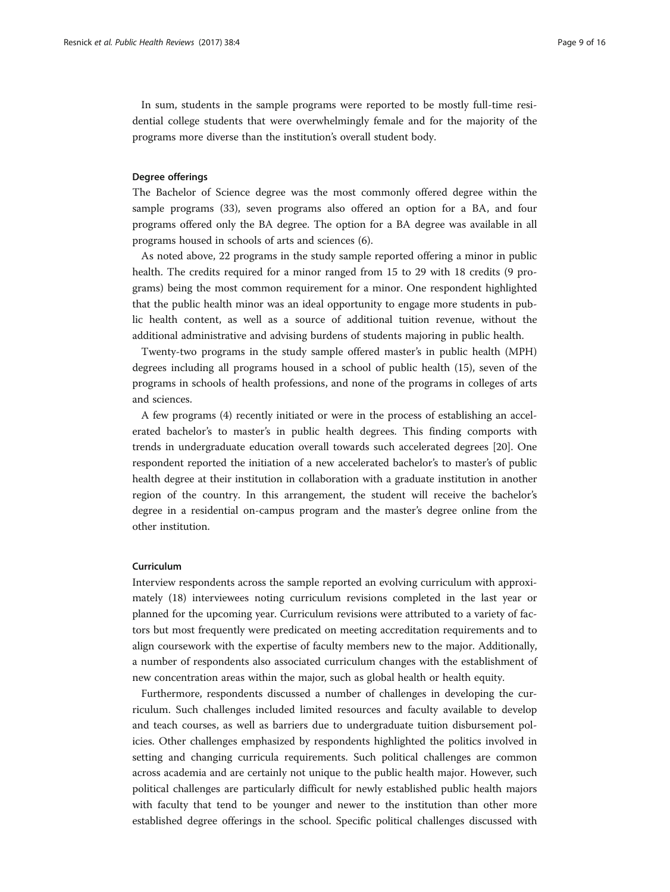In sum, students in the sample programs were reported to be mostly full-time residential college students that were overwhelmingly female and for the majority of the programs more diverse than the institution's overall student body.

#### Degree offerings

The Bachelor of Science degree was the most commonly offered degree within the sample programs (33), seven programs also offered an option for a BA, and four programs offered only the BA degree. The option for a BA degree was available in all programs housed in schools of arts and sciences (6).

As noted above, 22 programs in the study sample reported offering a minor in public health. The credits required for a minor ranged from 15 to 29 with 18 credits (9 programs) being the most common requirement for a minor. One respondent highlighted that the public health minor was an ideal opportunity to engage more students in public health content, as well as a source of additional tuition revenue, without the additional administrative and advising burdens of students majoring in public health.

Twenty-two programs in the study sample offered master's in public health (MPH) degrees including all programs housed in a school of public health (15), seven of the programs in schools of health professions, and none of the programs in colleges of arts and sciences.

A few programs (4) recently initiated or were in the process of establishing an accelerated bachelor's to master's in public health degrees. This finding comports with trends in undergraduate education overall towards such accelerated degrees [\[20](#page-14-0)]. One respondent reported the initiation of a new accelerated bachelor's to master's of public health degree at their institution in collaboration with a graduate institution in another region of the country. In this arrangement, the student will receive the bachelor's degree in a residential on-campus program and the master's degree online from the other institution.

#### Curriculum

Interview respondents across the sample reported an evolving curriculum with approximately (18) interviewees noting curriculum revisions completed in the last year or planned for the upcoming year. Curriculum revisions were attributed to a variety of factors but most frequently were predicated on meeting accreditation requirements and to align coursework with the expertise of faculty members new to the major. Additionally, a number of respondents also associated curriculum changes with the establishment of new concentration areas within the major, such as global health or health equity.

Furthermore, respondents discussed a number of challenges in developing the curriculum. Such challenges included limited resources and faculty available to develop and teach courses, as well as barriers due to undergraduate tuition disbursement policies. Other challenges emphasized by respondents highlighted the politics involved in setting and changing curricula requirements. Such political challenges are common across academia and are certainly not unique to the public health major. However, such political challenges are particularly difficult for newly established public health majors with faculty that tend to be younger and newer to the institution than other more established degree offerings in the school. Specific political challenges discussed with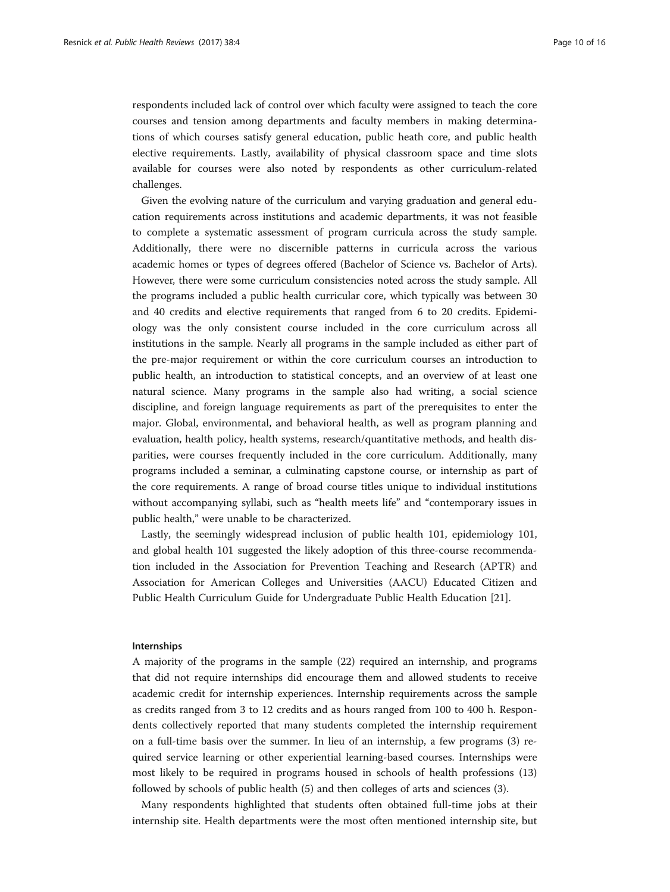respondents included lack of control over which faculty were assigned to teach the core courses and tension among departments and faculty members in making determinations of which courses satisfy general education, public heath core, and public health elective requirements. Lastly, availability of physical classroom space and time slots available for courses were also noted by respondents as other curriculum-related challenges.

Given the evolving nature of the curriculum and varying graduation and general education requirements across institutions and academic departments, it was not feasible to complete a systematic assessment of program curricula across the study sample. Additionally, there were no discernible patterns in curricula across the various academic homes or types of degrees offered (Bachelor of Science vs. Bachelor of Arts). However, there were some curriculum consistencies noted across the study sample. All the programs included a public health curricular core, which typically was between 30 and 40 credits and elective requirements that ranged from 6 to 20 credits. Epidemiology was the only consistent course included in the core curriculum across all institutions in the sample. Nearly all programs in the sample included as either part of the pre-major requirement or within the core curriculum courses an introduction to public health, an introduction to statistical concepts, and an overview of at least one natural science. Many programs in the sample also had writing, a social science discipline, and foreign language requirements as part of the prerequisites to enter the major. Global, environmental, and behavioral health, as well as program planning and evaluation, health policy, health systems, research/quantitative methods, and health disparities, were courses frequently included in the core curriculum. Additionally, many programs included a seminar, a culminating capstone course, or internship as part of the core requirements. A range of broad course titles unique to individual institutions without accompanying syllabi, such as "health meets life" and "contemporary issues in public health," were unable to be characterized.

Lastly, the seemingly widespread inclusion of public health 101, epidemiology 101, and global health 101 suggested the likely adoption of this three-course recommendation included in the Association for Prevention Teaching and Research (APTR) and Association for American Colleges and Universities (AACU) Educated Citizen and Public Health Curriculum Guide for Undergraduate Public Health Education [\[21](#page-15-0)].

#### Internships

A majority of the programs in the sample (22) required an internship, and programs that did not require internships did encourage them and allowed students to receive academic credit for internship experiences. Internship requirements across the sample as credits ranged from 3 to 12 credits and as hours ranged from 100 to 400 h. Respondents collectively reported that many students completed the internship requirement on a full-time basis over the summer. In lieu of an internship, a few programs (3) required service learning or other experiential learning-based courses. Internships were most likely to be required in programs housed in schools of health professions (13) followed by schools of public health (5) and then colleges of arts and sciences (3).

Many respondents highlighted that students often obtained full-time jobs at their internship site. Health departments were the most often mentioned internship site, but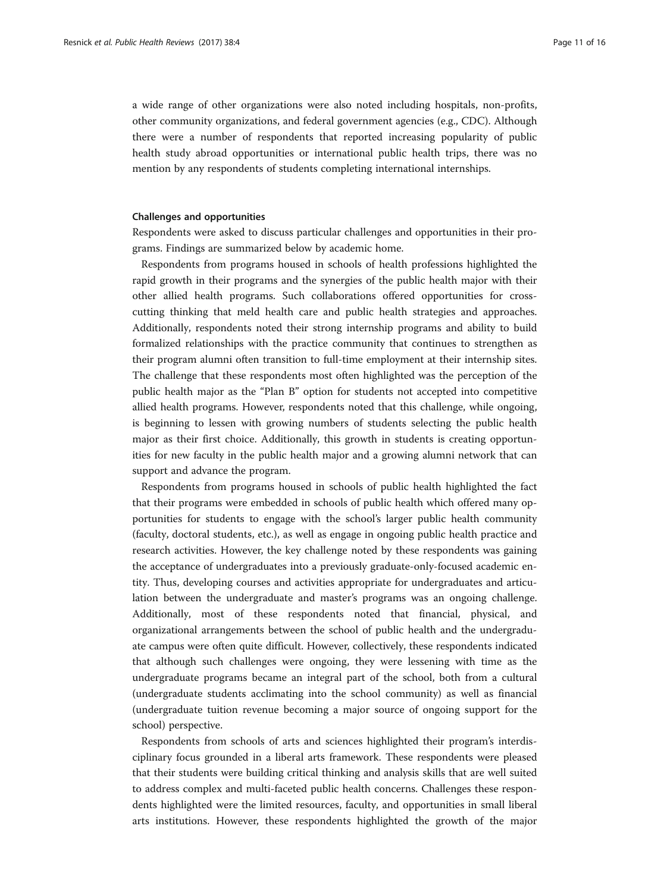a wide range of other organizations were also noted including hospitals, non-profits, other community organizations, and federal government agencies (e.g., CDC). Although there were a number of respondents that reported increasing popularity of public health study abroad opportunities or international public health trips, there was no mention by any respondents of students completing international internships.

#### Challenges and opportunities

Respondents were asked to discuss particular challenges and opportunities in their programs. Findings are summarized below by academic home.

Respondents from programs housed in schools of health professions highlighted the rapid growth in their programs and the synergies of the public health major with their other allied health programs. Such collaborations offered opportunities for crosscutting thinking that meld health care and public health strategies and approaches. Additionally, respondents noted their strong internship programs and ability to build formalized relationships with the practice community that continues to strengthen as their program alumni often transition to full-time employment at their internship sites. The challenge that these respondents most often highlighted was the perception of the public health major as the "Plan B" option for students not accepted into competitive allied health programs. However, respondents noted that this challenge, while ongoing, is beginning to lessen with growing numbers of students selecting the public health major as their first choice. Additionally, this growth in students is creating opportunities for new faculty in the public health major and a growing alumni network that can support and advance the program.

Respondents from programs housed in schools of public health highlighted the fact that their programs were embedded in schools of public health which offered many opportunities for students to engage with the school's larger public health community (faculty, doctoral students, etc.), as well as engage in ongoing public health practice and research activities. However, the key challenge noted by these respondents was gaining the acceptance of undergraduates into a previously graduate-only-focused academic entity. Thus, developing courses and activities appropriate for undergraduates and articulation between the undergraduate and master's programs was an ongoing challenge. Additionally, most of these respondents noted that financial, physical, and organizational arrangements between the school of public health and the undergraduate campus were often quite difficult. However, collectively, these respondents indicated that although such challenges were ongoing, they were lessening with time as the undergraduate programs became an integral part of the school, both from a cultural (undergraduate students acclimating into the school community) as well as financial (undergraduate tuition revenue becoming a major source of ongoing support for the school) perspective.

Respondents from schools of arts and sciences highlighted their program's interdisciplinary focus grounded in a liberal arts framework. These respondents were pleased that their students were building critical thinking and analysis skills that are well suited to address complex and multi-faceted public health concerns. Challenges these respondents highlighted were the limited resources, faculty, and opportunities in small liberal arts institutions. However, these respondents highlighted the growth of the major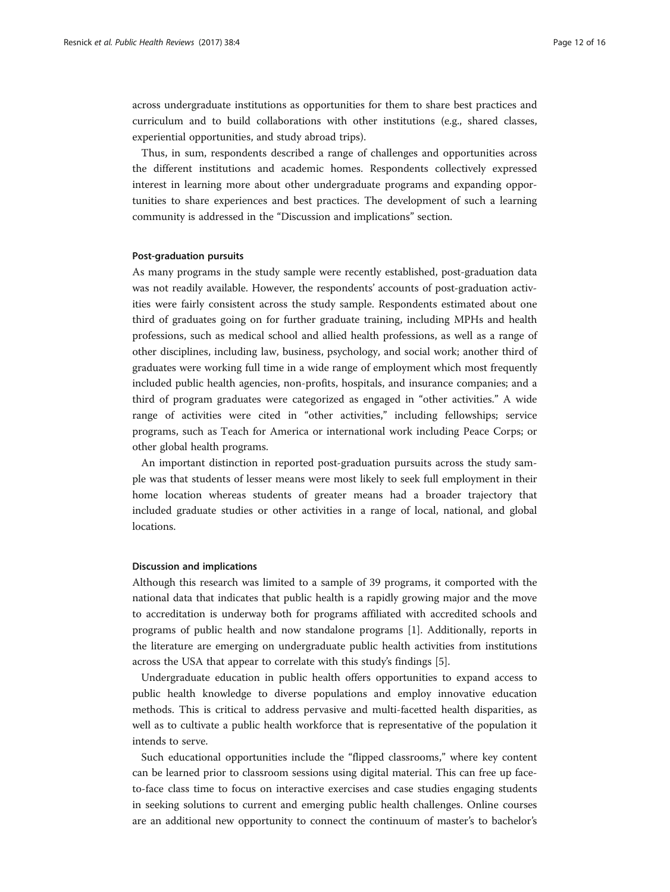across undergraduate institutions as opportunities for them to share best practices and curriculum and to build collaborations with other institutions (e.g., shared classes, experiential opportunities, and study abroad trips).

Thus, in sum, respondents described a range of challenges and opportunities across the different institutions and academic homes. Respondents collectively expressed interest in learning more about other undergraduate programs and expanding opportunities to share experiences and best practices. The development of such a learning community is addressed in the "Discussion and implications" section.

#### Post-graduation pursuits

As many programs in the study sample were recently established, post-graduation data was not readily available. However, the respondents' accounts of post-graduation activities were fairly consistent across the study sample. Respondents estimated about one third of graduates going on for further graduate training, including MPHs and health professions, such as medical school and allied health professions, as well as a range of other disciplines, including law, business, psychology, and social work; another third of graduates were working full time in a wide range of employment which most frequently included public health agencies, non-profits, hospitals, and insurance companies; and a third of program graduates were categorized as engaged in "other activities." A wide range of activities were cited in "other activities," including fellowships; service programs, such as Teach for America or international work including Peace Corps; or other global health programs.

An important distinction in reported post-graduation pursuits across the study sample was that students of lesser means were most likely to seek full employment in their home location whereas students of greater means had a broader trajectory that included graduate studies or other activities in a range of local, national, and global locations.

#### Discussion and implications

Although this research was limited to a sample of 39 programs, it comported with the national data that indicates that public health is a rapidly growing major and the move to accreditation is underway both for programs affiliated with accredited schools and programs of public health and now standalone programs [[1\]](#page-14-0). Additionally, reports in the literature are emerging on undergraduate public health activities from institutions across the USA that appear to correlate with this study's findings [[5\]](#page-14-0).

Undergraduate education in public health offers opportunities to expand access to public health knowledge to diverse populations and employ innovative education methods. This is critical to address pervasive and multi-facetted health disparities, as well as to cultivate a public health workforce that is representative of the population it intends to serve.

Such educational opportunities include the "flipped classrooms," where key content can be learned prior to classroom sessions using digital material. This can free up faceto-face class time to focus on interactive exercises and case studies engaging students in seeking solutions to current and emerging public health challenges. Online courses are an additional new opportunity to connect the continuum of master's to bachelor's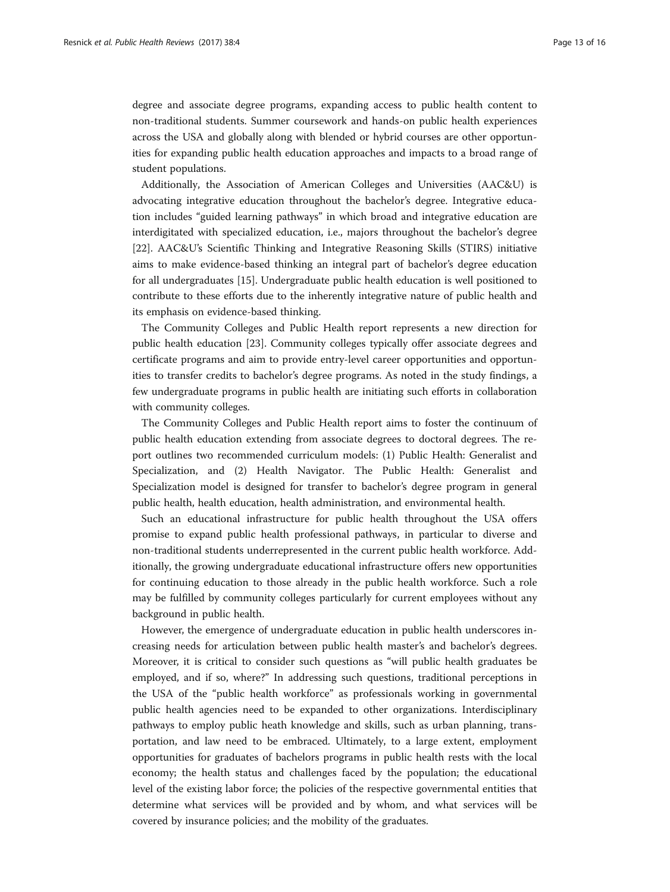degree and associate degree programs, expanding access to public health content to non-traditional students. Summer coursework and hands-on public health experiences across the USA and globally along with blended or hybrid courses are other opportunities for expanding public health education approaches and impacts to a broad range of student populations.

Additionally, the Association of American Colleges and Universities (AAC&U) is advocating integrative education throughout the bachelor's degree. Integrative education includes "guided learning pathways" in which broad and integrative education are interdigitated with specialized education, i.e., majors throughout the bachelor's degree [[22\]](#page-15-0). AAC&U's Scientific Thinking and Integrative Reasoning Skills (STIRS) initiative aims to make evidence-based thinking an integral part of bachelor's degree education for all undergraduates [[15\]](#page-14-0). Undergraduate public health education is well positioned to contribute to these efforts due to the inherently integrative nature of public health and its emphasis on evidence-based thinking.

The Community Colleges and Public Health report represents a new direction for public health education [[23\]](#page-15-0). Community colleges typically offer associate degrees and certificate programs and aim to provide entry-level career opportunities and opportunities to transfer credits to bachelor's degree programs. As noted in the study findings, a few undergraduate programs in public health are initiating such efforts in collaboration with community colleges.

The Community Colleges and Public Health report aims to foster the continuum of public health education extending from associate degrees to doctoral degrees. The report outlines two recommended curriculum models: (1) Public Health: Generalist and Specialization, and (2) Health Navigator. The Public Health: Generalist and Specialization model is designed for transfer to bachelor's degree program in general public health, health education, health administration, and environmental health.

Such an educational infrastructure for public health throughout the USA offers promise to expand public health professional pathways, in particular to diverse and non-traditional students underrepresented in the current public health workforce. Additionally, the growing undergraduate educational infrastructure offers new opportunities for continuing education to those already in the public health workforce. Such a role may be fulfilled by community colleges particularly for current employees without any background in public health.

However, the emergence of undergraduate education in public health underscores increasing needs for articulation between public health master's and bachelor's degrees. Moreover, it is critical to consider such questions as "will public health graduates be employed, and if so, where?" In addressing such questions, traditional perceptions in the USA of the "public health workforce" as professionals working in governmental public health agencies need to be expanded to other organizations. Interdisciplinary pathways to employ public heath knowledge and skills, such as urban planning, transportation, and law need to be embraced. Ultimately, to a large extent, employment opportunities for graduates of bachelors programs in public health rests with the local economy; the health status and challenges faced by the population; the educational level of the existing labor force; the policies of the respective governmental entities that determine what services will be provided and by whom, and what services will be covered by insurance policies; and the mobility of the graduates.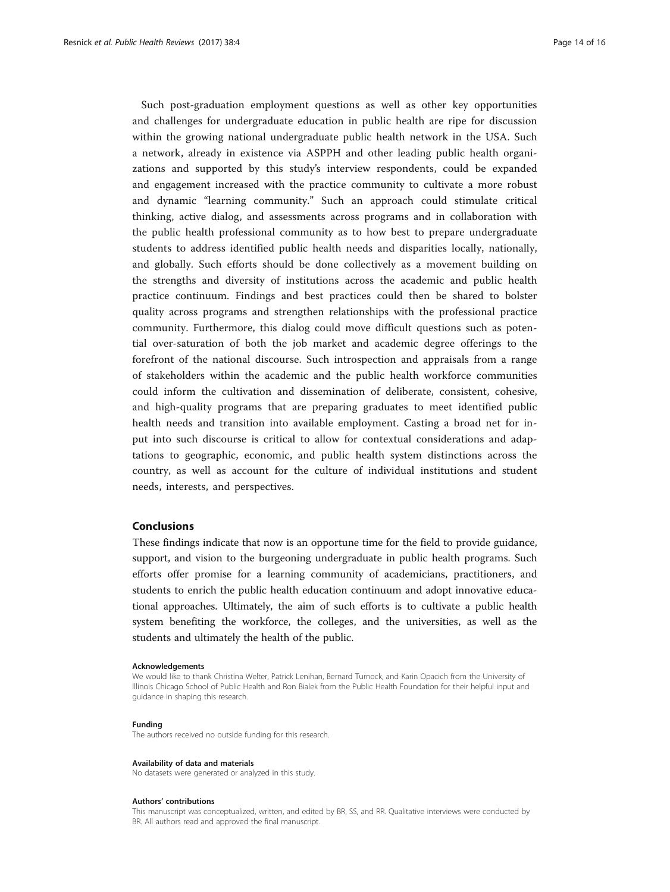Such post-graduation employment questions as well as other key opportunities and challenges for undergraduate education in public health are ripe for discussion within the growing national undergraduate public health network in the USA. Such a network, already in existence via ASPPH and other leading public health organizations and supported by this study's interview respondents, could be expanded and engagement increased with the practice community to cultivate a more robust and dynamic "learning community." Such an approach could stimulate critical thinking, active dialog, and assessments across programs and in collaboration with the public health professional community as to how best to prepare undergraduate students to address identified public health needs and disparities locally, nationally, and globally. Such efforts should be done collectively as a movement building on the strengths and diversity of institutions across the academic and public health practice continuum. Findings and best practices could then be shared to bolster quality across programs and strengthen relationships with the professional practice community. Furthermore, this dialog could move difficult questions such as potential over-saturation of both the job market and academic degree offerings to the forefront of the national discourse. Such introspection and appraisals from a range of stakeholders within the academic and the public health workforce communities could inform the cultivation and dissemination of deliberate, consistent, cohesive, and high-quality programs that are preparing graduates to meet identified public health needs and transition into available employment. Casting a broad net for input into such discourse is critical to allow for contextual considerations and adaptations to geographic, economic, and public health system distinctions across the country, as well as account for the culture of individual institutions and student needs, interests, and perspectives.

#### Conclusions

These findings indicate that now is an opportune time for the field to provide guidance, support, and vision to the burgeoning undergraduate in public health programs. Such efforts offer promise for a learning community of academicians, practitioners, and students to enrich the public health education continuum and adopt innovative educational approaches. Ultimately, the aim of such efforts is to cultivate a public health system benefiting the workforce, the colleges, and the universities, as well as the students and ultimately the health of the public.

#### Acknowledgements

We would like to thank Christina Welter, Patrick Lenihan, Bernard Turnock, and Karin Opacich from the University of Illinois Chicago School of Public Health and Ron Bialek from the Public Health Foundation for their helpful input and guidance in shaping this research.

#### Funding

The authors received no outside funding for this research.

#### Availability of data and materials

No datasets were generated or analyzed in this study.

#### Authors' contributions

This manuscript was conceptualized, written, and edited by BR, SS, and RR. Qualitative interviews were conducted by BR. All authors read and approved the final manuscript.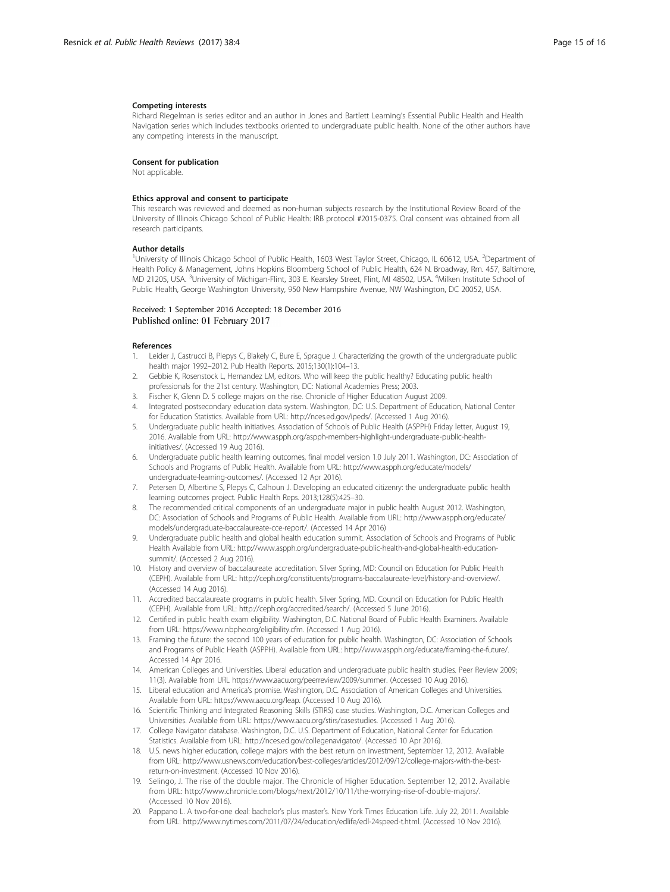#### <span id="page-14-0"></span>Competing interests

Richard Riegelman is series editor and an author in Jones and Bartlett Learning's Essential Public Health and Health Navigation series which includes textbooks oriented to undergraduate public health. None of the other authors have any competing interests in the manuscript.

#### Consent for publication

Not applicable.

#### Ethics approval and consent to participate

This research was reviewed and deemed as non-human subjects research by the Institutional Review Board of the University of Illinois Chicago School of Public Health: IRB protocol #2015-0375. Oral consent was obtained from all research participants.

#### Author details

<sup>1</sup>University of Illinois Chicago School of Public Health, 1603 West Taylor Street, Chicago, IL 60612, USA. <sup>2</sup>Department of Health Policy & Management, Johns Hopkins Bloomberg School of Public Health, 624 N. Broadway, Rm. 457, Baltimore, MD 21205, USA. <sup>3</sup>University of Michigan-Flint, 303 E. Kearsley Street, Flint, MI 48502, USA. <sup>4</sup>Milken Institute School of Public Health, George Washington University, 950 New Hampshire Avenue, NW Washington, DC 20052, USA.

#### Received: 1 September 2016 Accepted: 18 December 2016 Published online: 01 February 2017

#### References

- 1. Leider J, Castrucci B, Plepys C, Blakely C, Bure E, Sprague J. Characterizing the growth of the undergraduate public health major 1992–2012. Pub Health Reports. 2015;130(1):104–13.
- 2. Gebbie K, Rosenstock L, Hernandez LM, editors. Who will keep the public healthy? Educating public health professionals for the 21st century. Washington, DC: National Academies Press; 2003.
- Fischer K, Glenn D. 5 college majors on the rise. Chronicle of Higher Education August 2009.
- 4. Integrated postsecondary education data system. Washington, DC: U.S. Department of Education, National Center for Education Statistics. Available from URL: [http://nces.ed.gov/ipeds/.](http://nces.ed.gov/ipeds/) (Accessed 1 Aug 2016).
- 5. Undergraduate public health initiatives. Association of Schools of Public Health (ASPPH) Friday letter, August 19, 2016. Available from URL: [http://www.aspph.org/aspph-members-highlight-undergraduate-public-health](http://www.aspph.org/aspph-members-highlight-undergraduate-public-health-initiatives/)[initiatives/.](http://www.aspph.org/aspph-members-highlight-undergraduate-public-health-initiatives/) (Accessed 19 Aug 2016).
- 6. Undergraduate public health learning outcomes, final model version 1.0 July 2011. Washington, DC: Association of Schools and Programs of Public Health. Available from URL: [http://www.aspph.org/educate/models/](http://www.aspph.org/educate/models/undergraduate-learning-outcomes/) [undergraduate-learning-outcomes/.](http://www.aspph.org/educate/models/undergraduate-learning-outcomes/) (Accessed 12 Apr 2016).
- 7. Petersen D, Albertine S, Plepys C, Calhoun J. Developing an educated citizenry: the undergraduate public health learning outcomes project. Public Health Reps. 2013;128(5):425–30.
- 8. The recommended critical components of an undergraduate major in public health August 2012. Washington, DC: Association of Schools and Programs of Public Health. Available from URL: [http://www.aspph.org/educate/](http://www.aspph.org/educate/models/undergraduate-baccalaureate-cce-report/) [models/undergraduate-baccalaureate-cce-report/.](http://www.aspph.org/educate/models/undergraduate-baccalaureate-cce-report/) (Accessed 14 Apr 2016)
- 9. Undergraduate public health and global health education summit. Association of Schools and Programs of Public Health Available from URL: [http://www.aspph.org/undergraduate-public-health-and-global-health-education](http://www.aspph.org/undergraduate-public-health-and-global-health-education-summit/)[summit/.](http://www.aspph.org/undergraduate-public-health-and-global-health-education-summit/) (Accessed 2 Aug 2016).
- 10. History and overview of baccalaureate accreditation. Silver Spring, MD: Council on Education for Public Health (CEPH). Available from URL:<http://ceph.org/constituents/programs-baccalaureate-level/history-and-overview/>. (Accessed 14 Aug 2016).
- 11. Accredited baccalaureate programs in public health. Silver Spring, MD. Council on Education for Public Health (CEPH). Available from URL: [http://ceph.org/accredited/search/.](http://ceph.org/accredited/search/) (Accessed 5 June 2016).
- 12. Certified in public health exam eligibility. Washington, D.C. National Board of Public Health Examiners. Available from URL:<https://www.nbphe.org/eligibility.cfm>. (Accessed 1 Aug 2016).
- 13. Framing the future: the second 100 years of education for public health. Washington, DC: Association of Schools and Programs of Public Health (ASPPH). Available from URL: [http://www.aspph.org/educate/framing-the-future/.](http://www.aspph.org/educate/framing-the-future/) Accessed 14 Apr 2016.
- 14. American Colleges and Universities. Liberal education and undergraduate public health studies. Peer Review 2009; 11(3). Available from URL [https://www.aacu.org/peerreview/2009/summer.](https://www.aacu.org/peerreview/2009/summer) (Accessed 10 Aug 2016).
- 15. Liberal education and America's promise. Washington, D.C. Association of American Colleges and Universities. Available from URL: [https://www.aacu.org/leap.](https://www.aacu.org/leap) (Accessed 10 Aug 2016).
- 16. Scientific Thinking and Integrated Reasoning Skills (STIRS) case studies. Washington, D.C. American Colleges and Universities. Available from URL: [https://www.aacu.org/stirs/casestudies.](https://www.aacu.org/stirs/casestudies) (Accessed 1 Aug 2016).
- 17. College Navigator database. Washington, D.C. U.S. Department of Education, National Center for Education Statistics. Available from URL:<http://nces.ed.gov/collegenavigator/>. (Accessed 10 Apr 2016).
- 18. U.S. news higher education, college majors with the best return on investment, September 12, 2012. Available from URL: [http://www.usnews.com/education/best-colleges/articles/2012/09/12/college-majors-with-the-best](http://www.usnews.com/education/best-colleges/articles/2012/09/12/college-majors-with-the-best-return-on-investment)[return-on-investment](http://www.usnews.com/education/best-colleges/articles/2012/09/12/college-majors-with-the-best-return-on-investment). (Accessed 10 Nov 2016).
- 19. Selingo, J. The rise of the double major. The Chronicle of Higher Education. September 12, 2012. Available from URL:<http://www.chronicle.com/blogs/next/2012/10/11/the-worrying-rise-of-double-majors/>. (Accessed 10 Nov 2016).
- 20. Pappano L. A two-for-one deal: bachelor's plus master's. New York Times Education Life. July 22, 2011. Available from URL: [http://www.nytimes.com/2011/07/24/education/edlife/edl-24speed-t.html.](http://www.nytimes.com/2011/07/24/education/edlife/edl-24speed-t.html) (Accessed 10 Nov 2016).